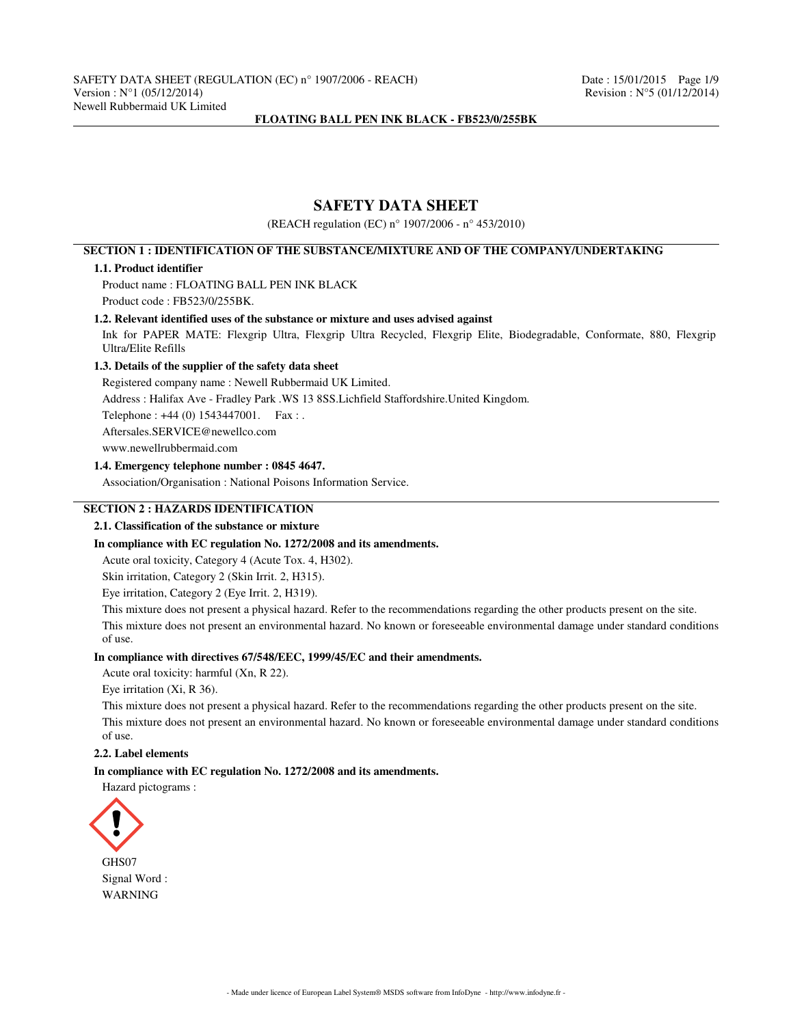# **SAFETY DATA SHEET**

(REACH regulation (EC) n° 1907/2006 - n° 453/2010)

# **SECTION 1 : IDENTIFICATION OF THE SUBSTANCE/MIXTURE AND OF THE COMPANY/UNDERTAKING**

#### **1.1. Product identifier**

Product name : FLOATING BALL PEN INK BLACK Product code : FB523/0/255BK.

### **1.2. Relevant identified uses of the substance or mixture and uses advised against**

Ink for PAPER MATE: Flexgrip Ultra, Flexgrip Ultra Recycled, Flexgrip Elite, Biodegradable, Conformate, 880, Flexgrip Ultra/Elite Refills

### **1.3. Details of the supplier of the safety data sheet**

Registered company name : Newell Rubbermaid UK Limited.

Address : Halifax Ave - Fradley Park .WS 13 8SS.Lichfield Staffordshire.United Kingdom.

Telephone : +44 (0) 1543447001. Fax : .

Aftersales.SERVICE@newellco.com

www.newellrubbermaid.com

#### **1.4. Emergency telephone number : 0845 4647.**

Association/Organisation : National Poisons Information Service.

### **SECTION 2 : HAZARDS IDENTIFICATION**

# **2.1. Classification of the substance or mixture**

### **In compliance with EC regulation No. 1272/2008 and its amendments.**

Acute oral toxicity, Category 4 (Acute Tox. 4, H302).

Skin irritation, Category 2 (Skin Irrit. 2, H315).

Eye irritation, Category 2 (Eye Irrit. 2, H319).

This mixture does not present a physical hazard. Refer to the recommendations regarding the other products present on the site. This mixture does not present an environmental hazard. No known or foreseeable environmental damage under standard conditions of use.

#### **In compliance with directives 67/548/EEC, 1999/45/EC and their amendments.**

Acute oral toxicity: harmful (Xn, R 22).

Eye irritation (Xi, R 36).

This mixture does not present a physical hazard. Refer to the recommendations regarding the other products present on the site. This mixture does not present an environmental hazard. No known or foreseeable environmental damage under standard conditions of use.

### **2.2. Label elements**

#### **In compliance with EC regulation No. 1272/2008 and its amendments.**

Hazard pictograms :

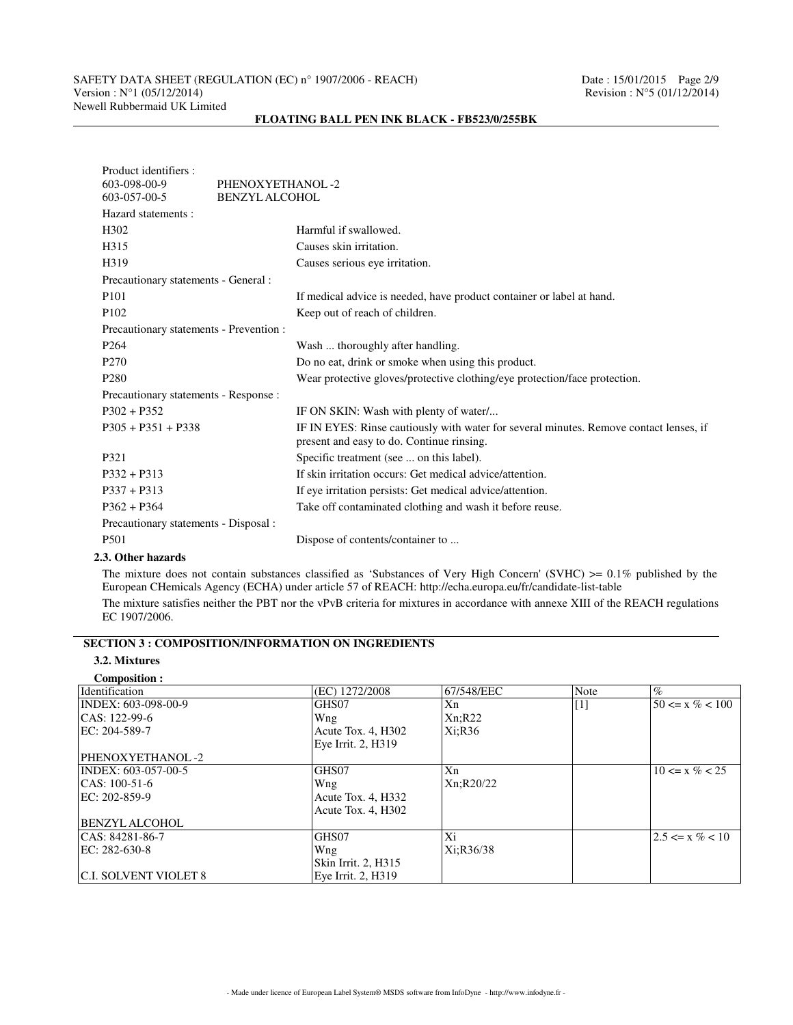# SAFETY DATA SHEET (REGULATION (EC) n° 1907/2006 - REACH) Date : 15/01/2015 Page 2/9<br>Version : N°1 (05/12/2014) Revision : N°5 (01/12/2014) Newell Rubbermaid UK Limited

# Product identifiers :<br>603-098-00-9 PHENOXYETHANOL -2 603-057-00-5 BENZYL ALCOHOL Hazard statements : H302 Harmful if swallowed. H315 Causes skin irritation. H319 Causes serious eye irritation. Precautionary statements - General : P101 If medical advice is needed, have product container or label at hand. P102 Keep out of reach of children. Precautionary statements - Prevention : P264 Wash ... thoroughly after handling. P270 Do no eat, drink or smoke when using this product.

### **FLOATING BALL PEN INK BLACK - FB523/0/255BK**

| Wear protective gloves/protective clothing/eye protection/face protection.                                                          |
|-------------------------------------------------------------------------------------------------------------------------------------|
|                                                                                                                                     |
| IF ON SKIN: Wash with plenty of water                                                                                               |
| IF IN EYES: Rinse cautiously with water for several minutes. Remove contact lenses, if<br>present and easy to do. Continue rinsing. |
| Specific treatment (see  on this label).                                                                                            |
| If skin irritation occurs: Get medical advice/attention.                                                                            |
| If eye irritation persists: Get medical advice/attention.                                                                           |
| Take off contaminated clothing and wash it before reuse.                                                                            |
|                                                                                                                                     |
| Dispose of contents/container to                                                                                                    |
|                                                                                                                                     |

#### **2.3. Other hazards**

The mixture does not contain substances classified as 'Substances of Very High Concern' (SVHC)  $\geq 0.1\%$  published by the European CHemicals Agency (ECHA) under article 57 of REACH: http://echa.europa.eu/fr/candidate-list-table

The mixture satisfies neither the PBT nor the vPvB criteria for mixtures in accordance with annexe XIII of the REACH regulations EC 1907/2006.

## **SECTION 3 : COMPOSITION/INFORMATION ON INGREDIENTS**

#### **3.2. Mixtures Composition :**

| Composition:                 |                     |            |       |                     |
|------------------------------|---------------------|------------|-------|---------------------|
| Identification               | (EC) 1272/2008      | 67/548/EEC | Note  | $\%$                |
| INDEX: 603-098-00-9          | GHS07               | Xn         | $[1]$ | $50 \le x \% < 100$ |
| CAS: 122-99-6                | Wng                 | Xn; R22    |       |                     |
| EC: 204-589-7                | Acute Tox. 4, H302  | Xi;R36     |       |                     |
|                              | Eye Irrit. 2, H319  |            |       |                     |
| PHENOXYETHANOL-2             |                     |            |       |                     |
| INDEX: 603-057-00-5          | GHS07               | Xn         |       | $10 \le x \% < 25$  |
| $ CAS: 100-51-6$             | Wng                 | Xn;R20/22  |       |                     |
| EC: 202-859-9                | Acute Tox. 4, H332  |            |       |                     |
|                              | Acute Tox. 4, H302  |            |       |                     |
| <b>BENZYL ALCOHOL</b>        |                     |            |       |                     |
| CAS: 84281-86-7              | GHS07               | Xi         |       | $2.5 \le x \% < 10$ |
| EC: 282-630-8                | Wng                 | Xi:R36/38  |       |                     |
|                              | Skin Irrit. 2, H315 |            |       |                     |
| <b>C.I. SOLVENT VIOLET 8</b> | Eve Irrit. 2. H319  |            |       |                     |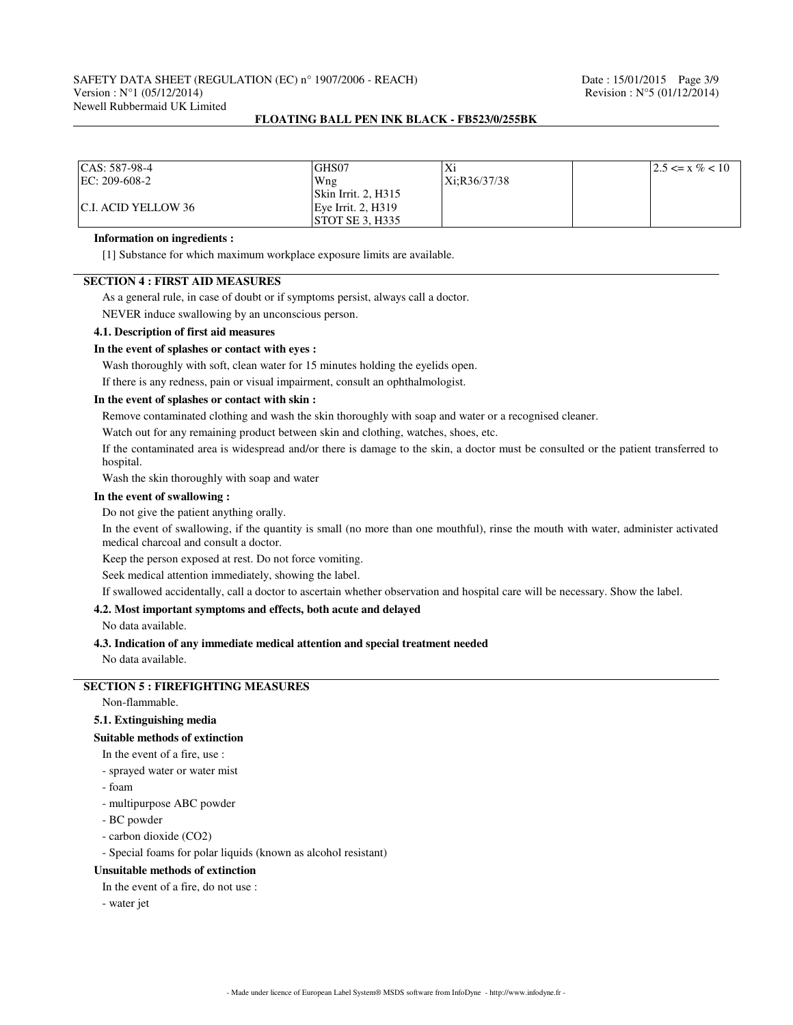# SAFETY DATA SHEET (REGULATION (EC) n° 1907/2006 - REACH) Date : 15/01/2015 Page 3/9<br>Version : N°1 (05/12/2014) Revision : N°5 (01/12/2014) Newell Rubbermaid UK Limited

### **FLOATING BALL PEN INK BLACK - FB523/0/255BK**

| $ CAS: 587-98-4$     | GHS07                       | Xi           | $12.5 \le x \% < 10$ |
|----------------------|-----------------------------|--------------|----------------------|
| $ EC: 209-608-2 $    | Wng                         | Xi:R36/37/38 |                      |
|                      | $\vert$ Skin Irrit. 2, H315 |              |                      |
| IC.I. ACID YELLOW 36 | Eve Irrit. 2. H319          |              |                      |
|                      | STOT SE 3. H335             |              |                      |

#### **Information on ingredients :**

[1] Substance for which maximum workplace exposure limits are available.

# **SECTION 4 : FIRST AID MEASURES**

As a general rule, in case of doubt or if symptoms persist, always call a doctor.

NEVER induce swallowing by an unconscious person.

#### **4.1. Description of first aid measures**

#### **In the event of splashes or contact with eyes :**

Wash thoroughly with soft, clean water for 15 minutes holding the eyelids open.

If there is any redness, pain or visual impairment, consult an ophthalmologist.

#### **In the event of splashes or contact with skin :**

Remove contaminated clothing and wash the skin thoroughly with soap and water or a recognised cleaner.

Watch out for any remaining product between skin and clothing, watches, shoes, etc.

If the contaminated area is widespread and/or there is damage to the skin, a doctor must be consulted or the patient transferred to hospital.

Wash the skin thoroughly with soap and water

#### **In the event of swallowing :**

Do not give the patient anything orally.

In the event of swallowing, if the quantity is small (no more than one mouthful), rinse the mouth with water, administer activated medical charcoal and consult a doctor.

Keep the person exposed at rest. Do not force vomiting.

Seek medical attention immediately, showing the label.

If swallowed accidentally, call a doctor to ascertain whether observation and hospital care will be necessary. Show the label.

#### **4.2. Most important symptoms and effects, both acute and delayed**

No data available.

#### **4.3. Indication of any immediate medical attention and special treatment needed**

No data available.

# **SECTION 5 : FIREFIGHTING MEASURES**

Non-flammable.

### **5.1. Extinguishing media**

#### **Suitable methods of extinction**

In the event of a fire, use :

- sprayed water or water mist
- foam
- multipurpose ABC powder
- BC powder
- carbon dioxide (CO2)

- Special foams for polar liquids (known as alcohol resistant)

#### **Unsuitable methods of extinction**

In the event of a fire, do not use :

- water jet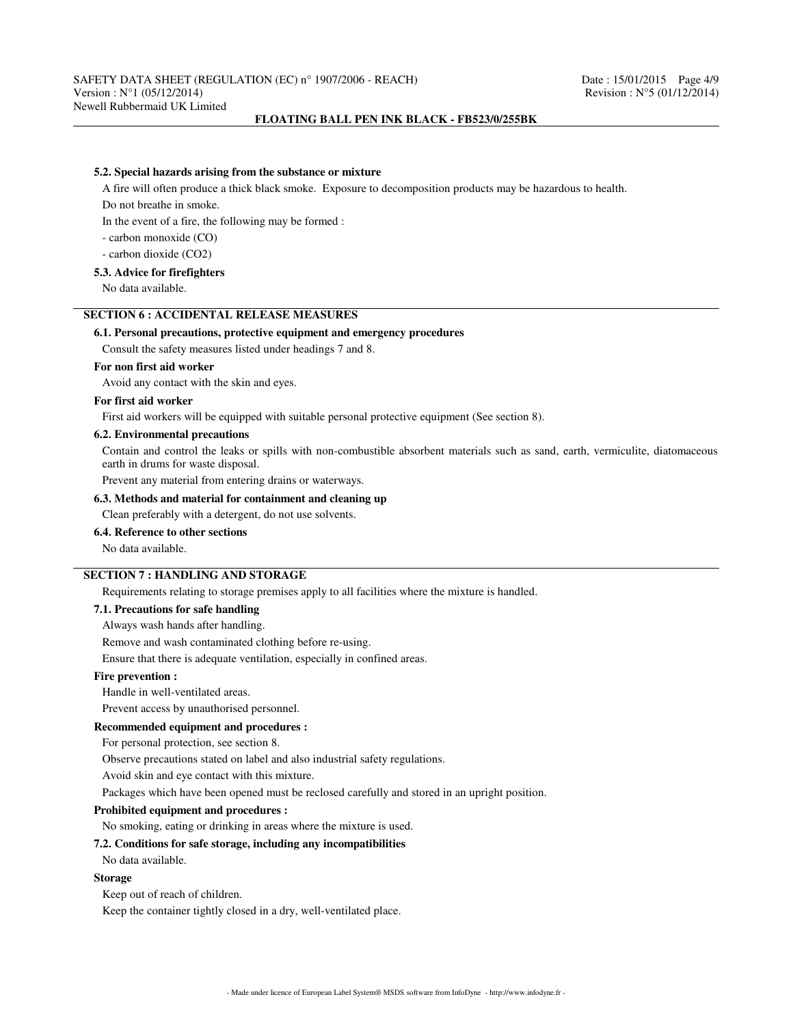#### **5.2. Special hazards arising from the substance or mixture**

A fire will often produce a thick black smoke. Exposure to decomposition products may be hazardous to health.

Do not breathe in smoke.

In the event of a fire, the following may be formed :

- carbon monoxide (CO)

- carbon dioxide (CO2)

### **5.3. Advice for firefighters**

No data available.

## **SECTION 6 : ACCIDENTAL RELEASE MEASURES**

### **6.1. Personal precautions, protective equipment and emergency procedures**

Consult the safety measures listed under headings 7 and 8.

### **For non first aid worker**

Avoid any contact with the skin and eyes.

#### **For first aid worker**

First aid workers will be equipped with suitable personal protective equipment (See section 8).

#### **6.2. Environmental precautions**

Contain and control the leaks or spills with non-combustible absorbent materials such as sand, earth, vermiculite, diatomaceous earth in drums for waste disposal.

Prevent any material from entering drains or waterways.

#### **6.3. Methods and material for containment and cleaning up**

Clean preferably with a detergent, do not use solvents.

#### **6.4. Reference to other sections**

No data available.

### **SECTION 7 : HANDLING AND STORAGE**

Requirements relating to storage premises apply to all facilities where the mixture is handled.

#### **7.1. Precautions for safe handling**

Always wash hands after handling.

Remove and wash contaminated clothing before re-using.

Ensure that there is adequate ventilation, especially in confined areas.

#### **Fire prevention :**

Handle in well-ventilated areas.

Prevent access by unauthorised personnel.

#### **Recommended equipment and procedures :**

For personal protection, see section 8.

Observe precautions stated on label and also industrial safety regulations.

Avoid skin and eye contact with this mixture.

Packages which have been opened must be reclosed carefully and stored in an upright position.

#### **Prohibited equipment and procedures :**

No smoking, eating or drinking in areas where the mixture is used.

## **7.2. Conditions for safe storage, including any incompatibilities**

No data available.

#### **Storage**

Keep out of reach of children.

Keep the container tightly closed in a dry, well-ventilated place.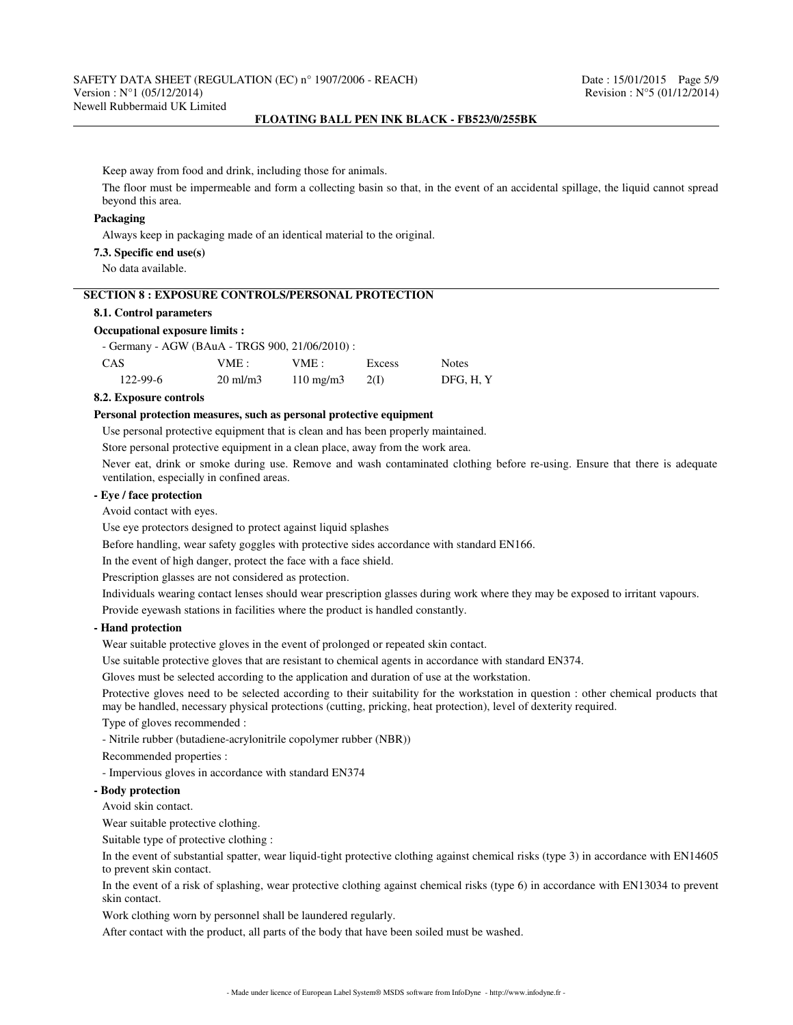Keep away from food and drink, including those for animals.

The floor must be impermeable and form a collecting basin so that, in the event of an accidental spillage, the liquid cannot spread beyond this area.

### **Packaging**

Always keep in packaging made of an identical material to the original.

**7.3. Specific end use(s)**

No data available.

## **SECTION 8 : EXPOSURE CONTROLS/PERSONAL PROTECTION**

### **8.1. Control parameters**

#### **Occupational exposure limits :**

| - Germany - AGW (BAuA - TRGS 900, 21/06/2010) : |  |
|-------------------------------------------------|--|
|-------------------------------------------------|--|

| CAS            | VME :               | VME :              | Excess | <b>Notes</b> |
|----------------|---------------------|--------------------|--------|--------------|
| $122 - 99 - 6$ | $20 \text{ ml/m}$ 3 | $110 \text{ mg/m}$ | 2(1)   | DFG, H, Y    |

### **8.2. Exposure controls**

#### **Personal protection measures, such as personal protective equipment**

Use personal protective equipment that is clean and has been properly maintained.

Store personal protective equipment in a clean place, away from the work area.

Never eat, drink or smoke during use. Remove and wash contaminated clothing before re-using. Ensure that there is adequate ventilation, especially in confined areas.

### **- Eye / face protection**

Avoid contact with eyes.

Use eye protectors designed to protect against liquid splashes

Before handling, wear safety goggles with protective sides accordance with standard EN166.

In the event of high danger, protect the face with a face shield.

Prescription glasses are not considered as protection.

Individuals wearing contact lenses should wear prescription glasses during work where they may be exposed to irritant vapours. Provide eyewash stations in facilities where the product is handled constantly.

#### **- Hand protection**

Wear suitable protective gloves in the event of prolonged or repeated skin contact.

Use suitable protective gloves that are resistant to chemical agents in accordance with standard EN374.

Gloves must be selected according to the application and duration of use at the workstation.

Protective gloves need to be selected according to their suitability for the workstation in question : other chemical products that may be handled, necessary physical protections (cutting, pricking, heat protection), level of dexterity required.

Type of gloves recommended :

- Nitrile rubber (butadiene-acrylonitrile copolymer rubber (NBR))

Recommended properties :

- Impervious gloves in accordance with standard EN374

### **- Body protection**

Avoid skin contact.

Wear suitable protective clothing.

Suitable type of protective clothing :

In the event of substantial spatter, wear liquid-tight protective clothing against chemical risks (type 3) in accordance with EN14605 to prevent skin contact.

In the event of a risk of splashing, wear protective clothing against chemical risks (type 6) in accordance with EN13034 to prevent skin contact.

Work clothing worn by personnel shall be laundered regularly.

After contact with the product, all parts of the body that have been soiled must be washed.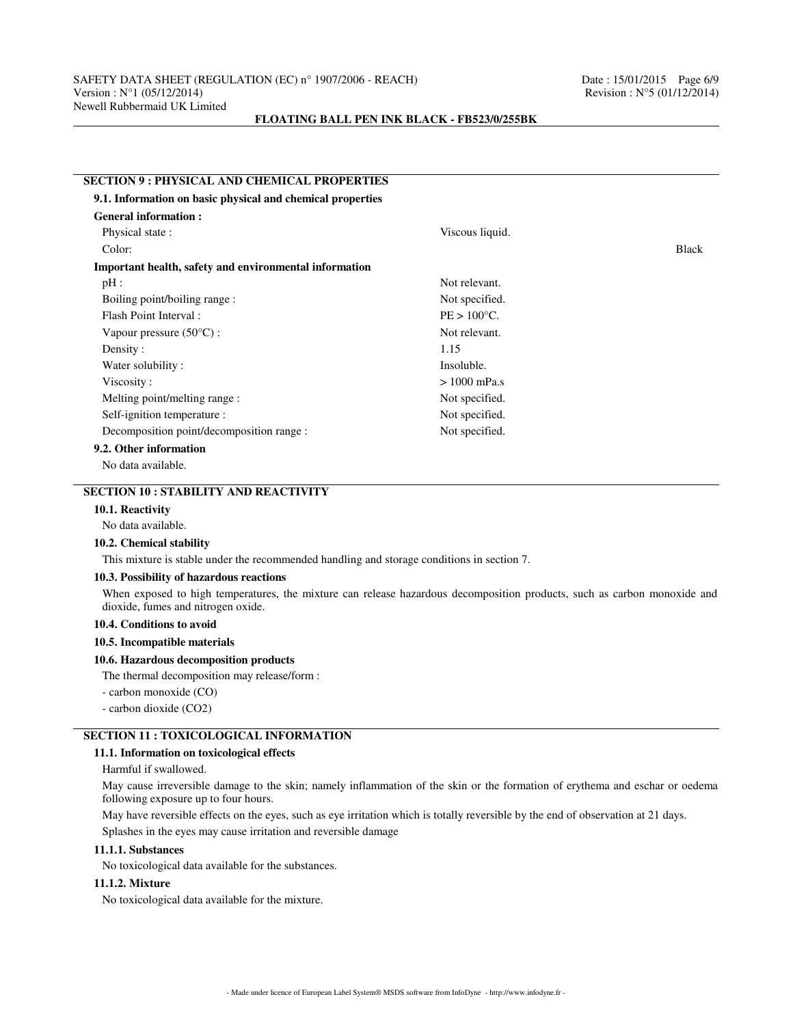# **SECTION 9 : PHYSICAL AND CHEMICAL PROPERTIES 9.1. Information on basic physical and chemical properties General information :** Physical state : Viscous liquid. Color: Black **Important health, safety and environmental information** pH : Not relevant. Boiling point/boiling range : Not specified. Flash Point Interval : PE > 100°C. Vapour pressure (50°C) : Not relevant. Density : 1.15 Water solubility : Insoluble.  $Viscosity: > 1000 \text{ mPa.s}$ Melting point/melting range : Not specified. Self-ignition temperature : Not specified. Decomposition point/decomposition range : Not specified. **9.2. Other information**

No data available.

# **SECTION 10 : STABILITY AND REACTIVITY**

### **10.1. Reactivity**

No data available.

#### **10.2. Chemical stability**

This mixture is stable under the recommended handling and storage conditions in section 7.

#### **10.3. Possibility of hazardous reactions**

When exposed to high temperatures, the mixture can release hazardous decomposition products, such as carbon monoxide and dioxide, fumes and nitrogen oxide.

#### **10.4. Conditions to avoid**

### **10.5. Incompatible materials**

#### **10.6. Hazardous decomposition products**

The thermal decomposition may release/form :

- carbon monoxide (CO)
- carbon dioxide (CO2)

# **SECTION 11 : TOXICOLOGICAL INFORMATION**

#### **11.1. Information on toxicological effects**

Harmful if swallowed.

May cause irreversible damage to the skin; namely inflammation of the skin or the formation of erythema and eschar or oedema following exposure up to four hours.

May have reversible effects on the eyes, such as eye irritation which is totally reversible by the end of observation at 21 days.

Splashes in the eyes may cause irritation and reversible damage

#### **11.1.1. Substances**

No toxicological data available for the substances.

### **11.1.2. Mixture**

No toxicological data available for the mixture.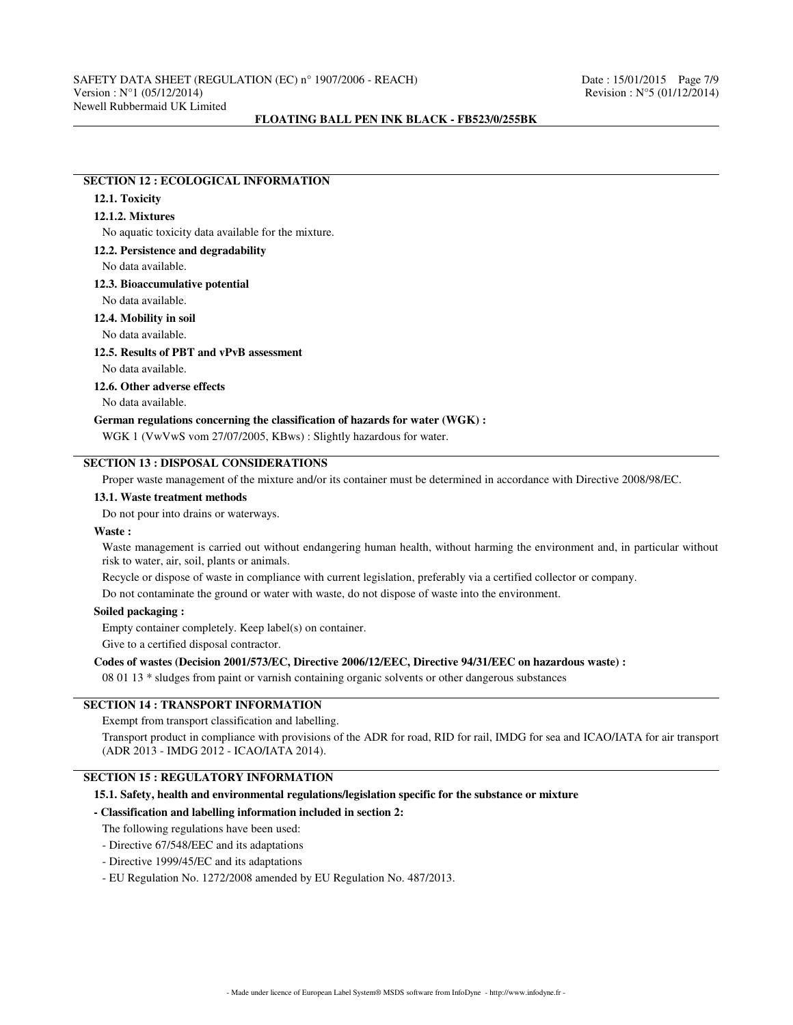### **SECTION 12 : ECOLOGICAL INFORMATION**

# **12.1. Toxicity**

### **12.1.2. Mixtures**

No aquatic toxicity data available for the mixture.

#### **12.2. Persistence and degradability**

No data available.

#### **12.3. Bioaccumulative potential**

No data available.

### **12.4. Mobility in soil**

No data available.

#### **12.5. Results of PBT and vPvB assessment**

No data available.

### **12.6. Other adverse effects**

No data available.

### **German regulations concerning the classification of hazards for water (WGK) :**

WGK 1 (VwVwS vom 27/07/2005, KBws) : Slightly hazardous for water.

# **SECTION 13 : DISPOSAL CONSIDERATIONS**

Proper waste management of the mixture and/or its container must be determined in accordance with Directive 2008/98/EC.

### **13.1. Waste treatment methods**

Do not pour into drains or waterways.

### **Waste :**

Waste management is carried out without endangering human health, without harming the environment and, in particular without risk to water, air, soil, plants or animals.

Recycle or dispose of waste in compliance with current legislation, preferably via a certified collector or company.

Do not contaminate the ground or water with waste, do not dispose of waste into the environment.

### **Soiled packaging :**

Empty container completely. Keep label(s) on container.

Give to a certified disposal contractor.

### **Codes of wastes (Decision 2001/573/EC, Directive 2006/12/EEC, Directive 94/31/EEC on hazardous waste) :**

08 01 13 \* sludges from paint or varnish containing organic solvents or other dangerous substances

## **SECTION 14 : TRANSPORT INFORMATION**

#### Exempt from transport classification and labelling.

Transport product in compliance with provisions of the ADR for road, RID for rail, IMDG for sea and ICAO/IATA for air transport (ADR 2013 - IMDG 2012 - ICAO/IATA 2014).

# **SECTION 15 : REGULATORY INFORMATION**

#### **15.1. Safety, health and environmental regulations/legislation specific for the substance or mixture**

#### **- Classification and labelling information included in section 2:**

The following regulations have been used:

- Directive 67/548/EEC and its adaptations
- Directive 1999/45/EC and its adaptations
- EU Regulation No. 1272/2008 amended by EU Regulation No. 487/2013.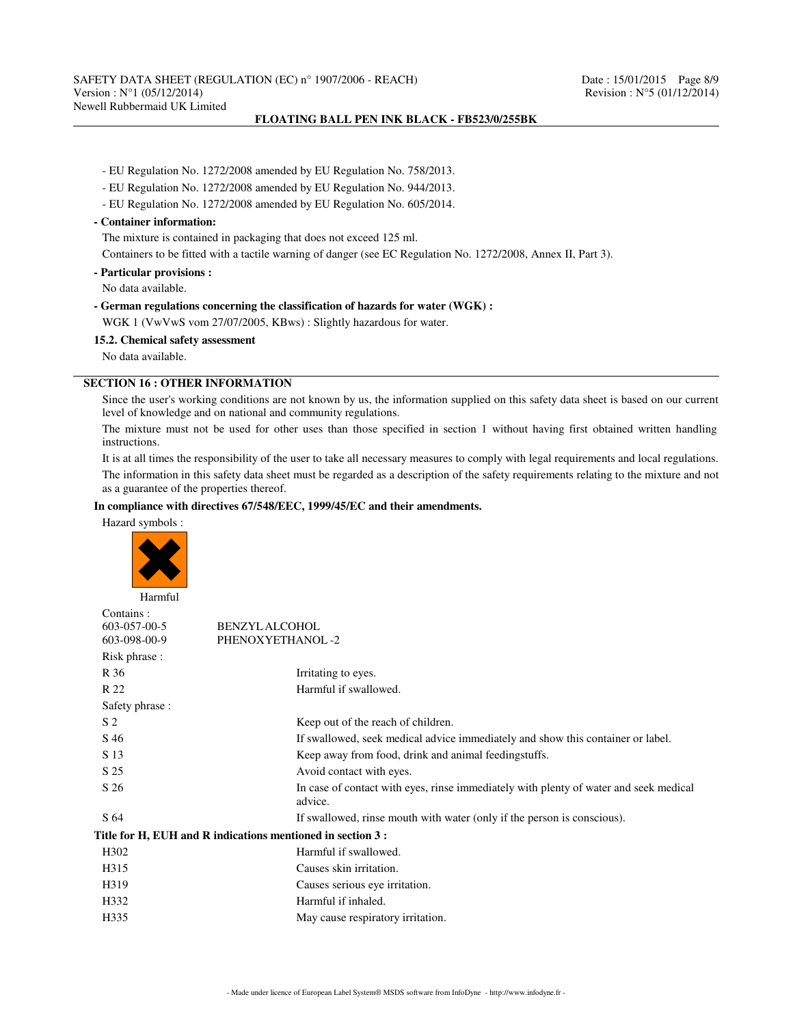SAFETY DATA SHEET (REGULATION (EC) n° 1907/2006 - REACH) Date : 15/01/2015 Page 8/9<br>Version : N°1 (05/12/2014) Page 8/9 Newell Rubbermaid UK Limited

### **FLOATING BALL PEN INK BLACK - FB523/0/255BK**

- EU Regulation No. 1272/2008 amended by EU Regulation No. 758/2013.
- EU Regulation No. 1272/2008 amended by EU Regulation No. 944/2013.
- EU Regulation No. 1272/2008 amended by EU Regulation No. 605/2014.

### **- Container information:**

The mixture is contained in packaging that does not exceed 125 ml.

Containers to be fitted with a tactile warning of danger (see EC Regulation No. 1272/2008, Annex II, Part 3).

**- Particular provisions :**

No data available.

#### **- German regulations concerning the classification of hazards for water (WGK) :**

WGK 1 (VwVwS vom 27/07/2005, KBws) : Slightly hazardous for water.

#### **15.2. Chemical safety assessment**

No data available.

### **SECTION 16 : OTHER INFORMATION**

Since the user's working conditions are not known by us, the information supplied on this safety data sheet is based on our current level of knowledge and on national and community regulations.

The mixture must not be used for other uses than those specified in section 1 without having first obtained written handling instructions.

It is at all times the responsibility of the user to take all necessary measures to comply with legal requirements and local regulations.

The information in this safety data sheet must be regarded as a description of the safety requirements relating to the mixture and not as a guarantee of the properties thereof.

### **In compliance with directives 67/548/EEC, 1999/45/EC and their amendments.**

Hazard symbols :



| Harmful                                   |                                                                                                  |
|-------------------------------------------|--------------------------------------------------------------------------------------------------|
| Contains:<br>603-057-00-5<br>603-098-00-9 | <b>BENZYL ALCOHOL</b><br>PHENOXYETHANOL-2                                                        |
| Risk phrase :                             |                                                                                                  |
| R 36                                      | Irritating to eyes.                                                                              |
| R 22                                      | Harmful if swallowed.                                                                            |
| Safety phrase:                            |                                                                                                  |
| S <sub>2</sub>                            | Keep out of the reach of children.                                                               |
| S 46                                      | If swallowed, seek medical advice immediately and show this container or label.                  |
| S 13                                      | Keep away from food, drink and animal feedingstuffs.                                             |
| S 25                                      | Avoid contact with eyes.                                                                         |
| S 26                                      | In case of contact with eyes, rinse immediately with plenty of water and seek medical<br>advice. |
| S 64                                      | If swallowed, rinse mouth with water (only if the person is conscious).                          |
|                                           | Title for H, EUH and R indications mentioned in section 3 :                                      |
| H <sub>3</sub> 02                         | Harmful if swallowed.                                                                            |
| H315                                      | Causes skin irritation.                                                                          |
| H319                                      | Causes serious eye irritation.                                                                   |
| H332                                      | Harmful if inhaled.                                                                              |
| H335                                      | May cause respiratory irritation.                                                                |